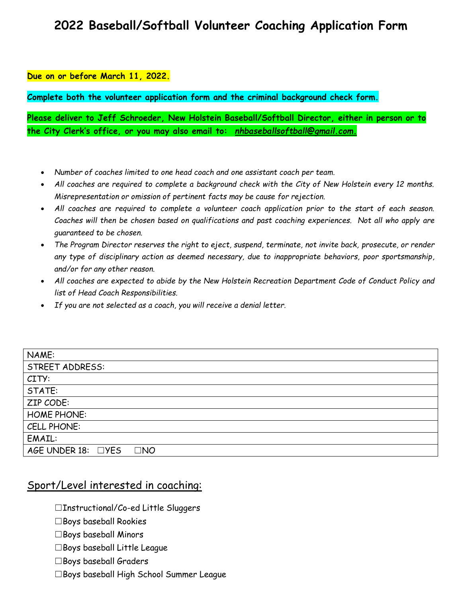## **2022 Baseball/Softball Volunteer Coaching Application Form**

## **Due on or before March 11, 2022.**

**Complete both the volunteer application form and the criminal background check form.**

**Please deliver to Jeff Schroeder, New Holstein Baseball/Softball Director, either in person or to the City Clerk's office, or you may also email to:** *nhbaseballsoftball@gmail.com.*

- *Number of coaches limited to one head coach and one assistant coach per team.*
- *All coaches are required to complete a background check with the City of New Holstein every 12 months. Misrepresentation or omission of pertinent facts may be cause for rejection.*
- *All coaches are required to complete a volunteer coach application prior to the start of each season. Coaches will then be chosen based on qualifications and past coaching experiences. Not all who apply are guaranteed to be chosen.*
- *The Program Director reserves the right to eject, suspend, terminate, not invite back, prosecute, or render any type of disciplinary action as deemed necessary, due to inappropriate behaviors, poor sportsmanship, and/or for any other reason.*
- *All coaches are expected to abide by the New Holstein Recreation Department Code of Conduct Policy and list of Head Coach Responsibilities.*
- *If you are not selected as a coach, you will receive a denial letter.*

| NAME:                              |
|------------------------------------|
| STREET ADDRESS:                    |
| CITY:                              |
| STATE:                             |
| ZIP CODE:                          |
| <b>HOME PHONE:</b>                 |
| CELL PHONE:                        |
| EMAIL:                             |
| AGE UNDER 18: □YES<br>$\square$ NO |

## Sport/Level interested in coaching:

☐Instructional/Co-ed Little Sluggers

- $\Box$ Boys baseball Rookies
- $\Box$ Boys baseball Minors
- $\square$ Boys baseball Little League
- ☐Boys baseball Graders
- ☐Boys baseball High School Summer League